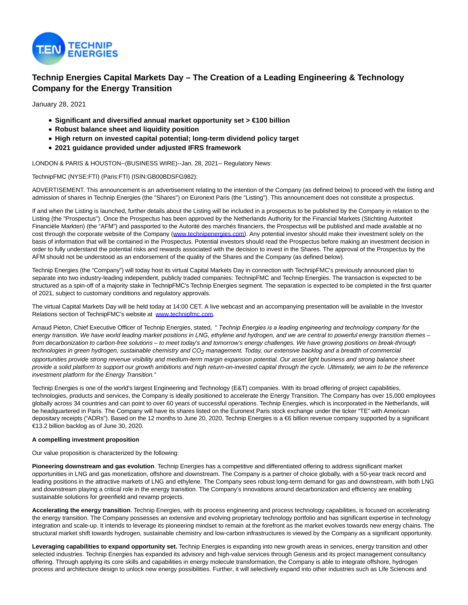

# **Technip Energies Capital Markets Day – The Creation of a Leading Engineering & Technology Company for the Energy Transition**

January 28, 2021

- **Significant and diversified annual market opportunity set > €100 billion**
- **Robust balance sheet and liquidity position**
- **High return on invested capital potential; long-term dividend policy target**
- **2021 guidance provided under adjusted IFRS framework**

LONDON & PARIS & HOUSTON--(BUSINESS WIRE)--Jan. 28, 2021-- Regulatory News:

TechnipFMC (NYSE:FTI) (Paris:FTI) (ISIN:GB00BDSFG982):

ADVERTISEMENT. This announcement is an advertisement relating to the intention of the Company (as defined below) to proceed with the listing and admission of shares in Technip Energies (the "Shares") on Euronext Paris (the "Listing"). This announcement does not constitute a prospectus.

If and when the Listing is launched, further details about the Listing will be included in a prospectus to be published by the Company in relation to the Listing (the "Prospectus"). Once the Prospectus has been approved by the Netherlands Authority for the Financial Markets (Stichting Autoriteit Financiële Markten) (the "AFM") and passported to the Autorité des marchés financiers, the Prospectus will be published and made available at no cost through the corporate website of the Company [\(www.technipenergies.com\)](https://cts.businesswire.com/ct/CT?id=smartlink&url=https%3A%2F%2Feur02.safelinks.protection.outlook.com%2F%3Furl%3Dhttp%253A%252F%252Fwww.technipenergies.com%252F%26data%3D04%257C01%257Camy.rajendran2%2540technipfmc.com%257C593eb863df9046b345a208d8c17e03f5%257C9179d01ae94c4488b5f04554bc474f8c%257C0%257C0%257C637472094263986855%257CUnknown%257CTWFpbGZsb3d8eyJWIjoiMC4wLjAwMDAiLCJQIjoiV2luMzIiLCJBTiI6Ik1haWwiLCJXVCI6Mn0%253D%257C1000%26sdata%3DDmYUD8Uxtx5kWJZbUxHLwT4QD8LLAqopXinI6%252BYQ4Lo%253D%26reserved%3D0&esheet=52369329&newsitemid=20210127006066&lan=en-US&anchor=www.technipenergies.com&index=1&md5=881c7afe3375ed3473c346a8af79aee8). Any potential investor should make their investment solely on the basis of information that will be contained in the Prospectus. Potential investors should read the Prospectus before making an investment decision in order to fully understand the potential risks and rewards associated with the decision to invest in the Shares. The approval of the Prospectus by the AFM should not be understood as an endorsement of the quality of the Shares and the Company (as defined below).

Technip Energies (the "Company") will today host its virtual Capital Markets Day in connection with TechnipFMC's previously announced plan to separate into two industry-leading independent, publicly traded companies: TechnipFMC and Technip Energies. The transaction is expected to be structured as a spin-off of a majority stake in TechnipFMC's Technip Energies segment. The separation is expected to be completed in the first quarter of 2021, subject to customary conditions and regulatory approvals.

The virtual Capital Markets Day will be held today at 14:00 CET. A live webcast and an accompanying presentation will be available in the Investor Relations section of TechnipFMC's website at [www.technipfmc.com.](https://cts.businesswire.com/ct/CT?id=smartlink&url=http%3A%2F%2Fwww.technipfmc.com&esheet=52369329&newsitemid=20210127006066&lan=en-US&anchor=www.technipfmc.com&index=2&md5=bcf1d603cbc84c859608f6be60392ab9)

Arnaud Pieton, Chief Executive Officer of Technip Energies, stated, *" Technip Energies is a leading engineering and technology company for the* energy transition. We have world leading market positions in LNG, ethylene and hydrogen, and we are central to powerful energy transition themes from decarbonization to carbon-free solutions – to meet today's and tomorrow's energy challenges. We have growing positions on break-through technologies in green hydrogen, sustainable chemistry and CO<sub>2</sub> management. Today, our extensive backlog and a breadth of commercial opportunities provide strong revenue visibility and medium-term margin expansion potential. Our asset light business and strong balance sheet provide a solid platform to support our growth ambitions and high return-on-invested capital through the cycle. Ultimately, we aim to be the reference investment platform for the Energy Transition."

Technip Energies is one of the world's largest Engineering and Technology (E&T) companies. With its broad offering of project capabilities, technologies, products and services, the Company is ideally positioned to accelerate the Energy Transition. The Company has over 15,000 employees globally across 34 countries and can point to over 60 years of successful operations. Technip Energies, which is incorporated in the Netherlands, will be headquartered in Paris. The Company will have its shares listed on the Euronext Paris stock exchange under the ticker "TE" with American depositary receipts ("ADRs"). Based on the 12 months to June 20, 2020, Technip Energies is a €6 billion revenue company supported by a significant €13.2 billion backlog as of June 30, 2020.

### **A compelling investment proposition**

Our value proposition is characterized by the following:

Pioneering downstream and gas evolution. Technip Energies has a competitive and differentiated offering to address significant market opportunities in LNG and gas monetization, offshore and downstream. The Company is a partner of choice globally, with a 50-year track record and leading positions in the attractive markets of LNG and ethylene. The Company sees robust long-term demand for gas and downstream, with both LNG and downstream playing a critical role in the energy transition. The Company's innovations around decarbonization and efficiency are enabling sustainable solutions for greenfield and revamp projects.

**Accelerating the energy transition**. Technip Energies, with its process engineering and process technology capabilities, is focused on accelerating the energy transition. The Company possesses an extensive and evolving proprietary technology portfolio and has significant expertise in technology integration and scale-up. It intends to leverage its pioneering mindset to remain at the forefront as the market evolves towards new energy chains. The structural market shift towards hydrogen, sustainable chemistry and low-carbon infrastructures is viewed by the Company as a significant opportunity.

**Leveraging capabilities to expand opportunity set.** Technip Energies is expanding into new growth areas in services, energy transition and other selected industries. Technip Energies has expanded its advisory and high-value services through Genesis and its project management consultancy offering. Through applying its core skills and capabilities in energy molecule transformation, the Company is able to integrate offshore, hydrogen process and architecture design to unlock new energy possibilities. Further, it will selectively expand into other industries such as Life Sciences and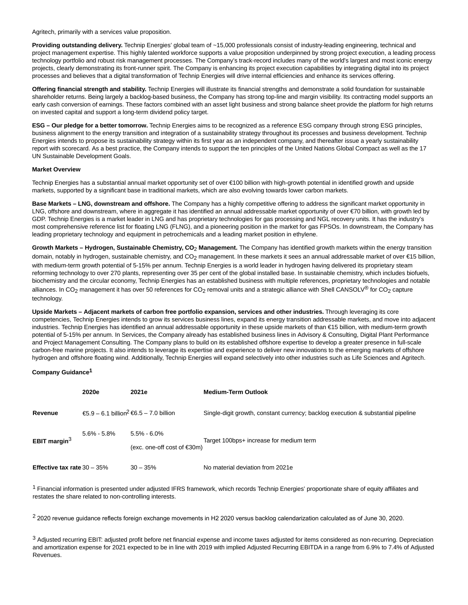Agritech, primarily with a services value proposition.

**Providing outstanding delivery.** Technip Energies' global team of ~15,000 professionals consist of industry-leading engineering, technical and project management expertise. This highly talented workforce supports a value proposition underpinned by strong project execution, a leading process technology portfolio and robust risk management processes. The Company's track-record includes many of the world's largest and most iconic energy projects, clearly demonstrating its front-runner spirit. The Company is enhancing its project execution capabilities by integrating digital into its project processes and believes that a digital transformation of Technip Energies will drive internal efficiencies and enhance its services offering.

**Offering financial strength and stability.** Technip Energies will illustrate its financial strengths and demonstrate a solid foundation for sustainable shareholder returns. Being largely a backlog-based business, the Company has strong top-line and margin visibility. Its contracting model supports an early cash conversion of earnings. These factors combined with an asset light business and strong balance sheet provide the platform for high returns on invested capital and support a long-term dividend policy target.

**ESG – Our pledge for a better tomorrow.** Technip Energies aims to be recognized as a reference ESG company through strong ESG principles, business alignment to the energy transition and integration of a sustainability strategy throughout its processes and business development. Technip Energies intends to propose its sustainability strategy within its first year as an independent company, and thereafter issue a yearly sustainability report with scorecard. As a best practice, the Company intends to support the ten principles of the United Nations Global Compact as well as the 17 UN Sustainable Development Goals.

#### **Market Overview**

Technip Energies has a substantial annual market opportunity set of over €100 billion with high-growth potential in identified growth and upside markets, supported by a significant base in traditional markets, which are also evolving towards lower carbon markets.

**Base Markets – LNG, downstream and offshore.** The Company has a highly competitive offering to address the significant market opportunity in LNG, offshore and downstream, where in aggregate it has identified an annual addressable market opportunity of over €70 billion, with growth led by GDP. Technip Energies is a market leader in LNG and has proprietary technologies for gas processing and NGL recovery units. It has the industry's most comprehensive reference list for floating LNG (FLNG), and a pioneering position in the market for gas FPSOs. In downstream, the Company has leading proprietary technology and equipment in petrochemicals and a leading market position in ethylene.

**Growth Markets – Hydrogen, Sustainable Chemistry, CO**2 **Management.** The Company has identified growth markets within the energy transition domain, notably in hydrogen, sustainable chemistry, and CO<sub>2</sub> management. In these markets it sees an annual addressable market of over €15 billion, with medium-term growth potential of 5-15% per annum. Technip Energies is a world leader in hydrogen having delivered its proprietary steam reforming technology to over 270 plants, representing over 35 per cent of the global installed base. In sustainable chemistry, which includes biofuels, biochemistry and the circular economy, Technip Energies has an established business with multiple references, proprietary technologies and notable alliances. In CO<sub>2</sub> management it has over 50 references for CO<sub>2</sub> removal units and a strategic alliance with Shell CANSOLV<sup>®</sup> for CO<sub>2</sub> capture technology.

**Upside Markets – Adjacent markets of carbon free portfolio expansion, services and other industries.** Through leveraging its core competencies, Technip Energies intends to grow its services business lines, expand its energy transition addressable markets, and move into adjacent industries. Technip Energies has identified an annual addressable opportunity in these upside markets of than €15 billion, with medium-term growth potential of 5-15% per annum. In Services, the Company already has established business lines in Advisory & Consulting, Digital Plant Performance and Project Management Consulting. The Company plans to build on its established offshore expertise to develop a greater presence in full-scale carbon-free marine projects. It also intends to leverage its expertise and experience to deliver new innovations to the emerging markets of offshore hydrogen and offshore floating wind. Additionally, Technip Energies will expand selectively into other industries such as Life Sciences and Agritech.

#### **Company Guidance1**

|                                    | 2020e                                              | 2021e                                          | <b>Medium-Term Outlook</b>                                                       |
|------------------------------------|----------------------------------------------------|------------------------------------------------|----------------------------------------------------------------------------------|
| Revenue                            | €5.9 – 6.1 billion <sup>2</sup> €6.5 – 7.0 billion |                                                | Single-digit growth, constant currency; backlog execution & substantial pipeline |
| EBIT margin $3$                    | $5.6\% - 5.8\%$                                    | $5.5\% - 6.0\%$<br>(exc. one-off cost of €30m) | Target 100bps+ increase for medium term                                          |
| <b>Effective tax rate 30 - 35%</b> |                                                    | $30 - 35%$                                     | No material deviation from 2021e                                                 |

 $1$  Financial information is presented under adjusted IFRS framework, which records Technip Energies' proportionate share of equity affiliates and restates the share related to non-controlling interests.

 $2$  2020 revenue guidance reflects foreign exchange movements in H2 2020 versus backlog calendarization calculated as of June 30, 2020.

<sup>3</sup> Adjusted recurring EBIT: adjusted profit before net financial expense and income taxes adjusted for items considered as non-recurring. Depreciation and amortization expense for 2021 expected to be in line with 2019 with implied Adjusted Recurring EBITDA in a range from 6.9% to 7.4% of Adjusted Revenues.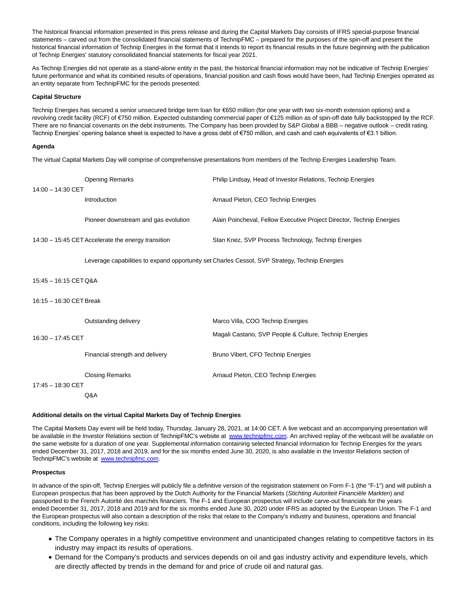The historical financial information presented in this press release and during the Capital Markets Day consists of IFRS special-purpose financial statements – carved out from the consolidated financial statements of TechnipFMC – prepared for the purposes of the spin-off and present the historical financial information of Technip Energies in the format that it intends to report its financial results in the future beginning with the publication of Technip Energies' statutory consolidated financial statements for fiscal year 2021.

As Technip Energies did not operate as a stand-alone entity in the past, the historical financial information may not be indicative of Technip Energies' future performance and what its combined results of operations, financial position and cash flows would have been, had Technip Energies operated as an entity separate from TechnipFMC for the periods presented.

## **Capital Structure**

Technip Energies has secured a senior unsecured bridge term loan for €650 million (for one year with two six-month extension options) and a revolving credit facility (RCF) of €750 million. Expected outstanding commercial paper of €125 million as of spin-off date fully backstopped by the RCF. There are no financial covenants on the debt instruments. The Company has been provided by S&P Global a BBB – negative outlook – credit rating. Technip Energies' opening balance sheet is expected to have a gross debt of €750 million, and cash and cash equivalents of €3.1 billion.

# **Agenda**

The virtual Capital Markets Day will comprise of comprehensive presentations from members of the Technip Energies Leadership Team.

| <b>Opening Remarks</b><br>14:00 - 14:30 CET                                                    | Philip Lindsay, Head of Investor Relations, Technip Energies          |  |  |  |
|------------------------------------------------------------------------------------------------|-----------------------------------------------------------------------|--|--|--|
| Introduction                                                                                   | Arnaud Pieton, CEO Technip Energies                                   |  |  |  |
| Pioneer downstream and gas evolution                                                           | Alain Poincheval, Fellow Executive Project Director, Technip Energies |  |  |  |
| 14:30 - 15:45 CET Accelerate the energy transition                                             | Stan Knez, SVP Process Technology, Technip Energies                   |  |  |  |
| Leverage capabilities to expand opportunity set Charles Cessot, SVP Strategy, Technip Energies |                                                                       |  |  |  |
| 15:45 - 16:15 CET Q&A                                                                          |                                                                       |  |  |  |
| 16:15 - 16:30 CET Break                                                                        |                                                                       |  |  |  |
| Outstanding delivery                                                                           | Marco Villa, COO Technip Energies                                     |  |  |  |
| 16:30 - 17:45 CET                                                                              | Magali Castano, SVP People & Culture, Technip Energies                |  |  |  |
| Financial strength and delivery                                                                | Bruno Vibert, CFO Technip Energies                                    |  |  |  |
| <b>Closing Remarks</b>                                                                         | Arnaud Pieton, CEO Technip Energies                                   |  |  |  |
| Q&A                                                                                            |                                                                       |  |  |  |
|                                                                                                | 17:45 - 18:30 CET                                                     |  |  |  |

### **Additional details on the virtual Capital Markets Day of Technip Energies**

The Capital Markets Day event will be held today, Thursday, January 28, 2021, at 14:00 CET. A live webcast and an accompanying presentation will be available in the Investor Relations section of TechnipFMC's website at [www.technipfmc.com.](https://cts.businesswire.com/ct/CT?id=smartlink&url=http%3A%2F%2Fwww.technipfmc.com&esheet=52369329&newsitemid=20210127006066&lan=en-US&anchor=www.technipfmc.com&index=3&md5=f626d2ea7dbc3fd6f53a726007c5519d) An archived replay of the webcast will be available on the same website for a duration of one year. Supplemental information containing selected financial information for Technip Energies for the years ended December 31, 2017, 2018 and 2019, and for the six months ended June 30, 2020, is also available in the Investor Relations section of TechnipFMC's website at [www.technipfmc.com.](https://cts.businesswire.com/ct/CT?id=smartlink&url=http%3A%2F%2Fwww.technipfmc.com&esheet=52369329&newsitemid=20210127006066&lan=en-US&anchor=www.technipfmc.com&index=4&md5=dd8c47a762b885c6da84b7c4b18e151c)

#### **Prospectus**

In advance of the spin-off, Technip Energies will publicly file a definitive version of the registration statement on Form F-1 (the "F-1") and will publish a European prospectus that has been approved by the Dutch Authority for the Financial Markets (Stichting Autoriteit Financiële Markten) and passported to the French Autorité des marchés financiers. The F-1 and European prospectus will include carve-out financials for the years ended December 31, 2017, 2018 and 2019 and for the six months ended June 30, 2020 under IFRS as adopted by the European Union. The F-1 and the European prospectus will also contain a description of the risks that relate to the Company's industry and business, operations and financial conditions, including the following key risks:

- The Company operates in a highly competitive environment and unanticipated changes relating to competitive factors in its industry may impact its results of operations.
- Demand for the Company's products and services depends on oil and gas industry activity and expenditure levels, which are directly affected by trends in the demand for and price of crude oil and natural gas.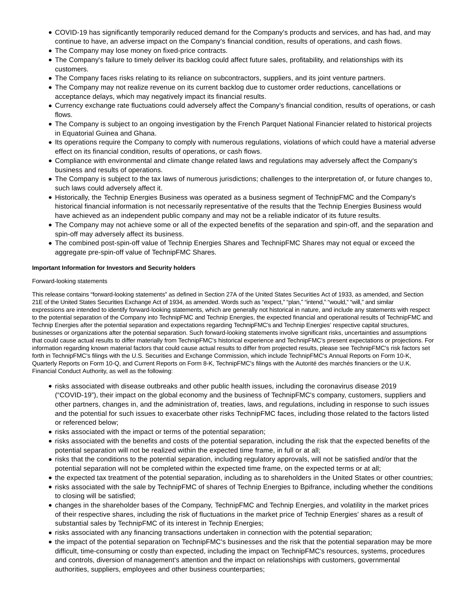- COVID-19 has significantly temporarily reduced demand for the Company's products and services, and has had, and may continue to have, an adverse impact on the Company's financial condition, results of operations, and cash flows.
- The Company may lose money on fixed-price contracts.
- The Company's failure to timely deliver its backlog could affect future sales, profitability, and relationships with its customers.
- The Company faces risks relating to its reliance on subcontractors, suppliers, and its joint venture partners.
- The Company may not realize revenue on its current backlog due to customer order reductions, cancellations or acceptance delays, which may negatively impact its financial results.
- Currency exchange rate fluctuations could adversely affect the Company's financial condition, results of operations, or cash flows.
- The Company is subject to an ongoing investigation by the French Parquet National Financier related to historical projects in Equatorial Guinea and Ghana.
- Its operations require the Company to comply with numerous regulations, violations of which could have a material adverse effect on its financial condition, results of operations, or cash flows.
- Compliance with environmental and climate change related laws and regulations may adversely affect the Company's business and results of operations.
- The Company is subject to the tax laws of numerous jurisdictions; challenges to the interpretation of, or future changes to, such laws could adversely affect it.
- Historically, the Technip Energies Business was operated as a business segment of TechnipFMC and the Company's historical financial information is not necessarily representative of the results that the Technip Energies Business would have achieved as an independent public company and may not be a reliable indicator of its future results.
- The Company may not achieve some or all of the expected benefits of the separation and spin-off, and the separation and spin-off may adversely affect its business.
- The combined post-spin-off value of Technip Energies Shares and TechnipFMC Shares may not equal or exceed the aggregate pre-spin-off value of TechnipFMC Shares.

# **Important Information for Investors and Security holders**

# Forward-looking statements

This release contains "forward-looking statements" as defined in Section 27A of the United States Securities Act of 1933, as amended, and Section 21E of the United States Securities Exchange Act of 1934, as amended. Words such as "expect," "plan," "intend," "would," "will," and similar expressions are intended to identify forward-looking statements, which are generally not historical in nature, and include any statements with respect to the potential separation of the Company into TechnipFMC and Technip Energies, the expected financial and operational results of TechnipFMC and Technip Energies after the potential separation and expectations regarding TechnipFMC's and Technip Energies' respective capital structures, businesses or organizations after the potential separation. Such forward-looking statements involve significant risks, uncertainties and assumptions that could cause actual results to differ materially from TechnipFMC's historical experience and TechnipFMC's present expectations or projections. For information regarding known material factors that could cause actual results to differ from projected results, please see TechnipFMC's risk factors set forth in TechnipFMC's filings with the U.S. Securities and Exchange Commission, which include TechnipFMC's Annual Reports on Form 10-K, Quarterly Reports on Form 10-Q, and Current Reports on Form 8-K, TechnipFMC's filings with the Autorité des marchés financiers or the U.K. Financial Conduct Authority, as well as the following:

- risks associated with disease outbreaks and other public health issues, including the coronavirus disease 2019 ("COVID-19"), their impact on the global economy and the business of TechnipFMC's company, customers, suppliers and other partners, changes in, and the administration of, treaties, laws, and regulations, including in response to such issues and the potential for such issues to exacerbate other risks TechnipFMC faces, including those related to the factors listed or referenced below;
- risks associated with the impact or terms of the potential separation;
- risks associated with the benefits and costs of the potential separation, including the risk that the expected benefits of the potential separation will not be realized within the expected time frame, in full or at all;
- risks that the conditions to the potential separation, including regulatory approvals, will not be satisfied and/or that the potential separation will not be completed within the expected time frame, on the expected terms or at all;
- the expected tax treatment of the potential separation, including as to shareholders in the United States or other countries;
- risks associated with the sale by TechnipFMC of shares of Technip Energies to Bpifrance, including whether the conditions to closing will be satisfied;
- changes in the shareholder bases of the Company, TechnipFMC and Technip Energies, and volatility in the market prices of their respective shares, including the risk of fluctuations in the market price of Technip Energies' shares as a result of substantial sales by TechnipFMC of its interest in Technip Energies;
- risks associated with any financing transactions undertaken in connection with the potential separation;
- the impact of the potential separation on TechnipFMC's businesses and the risk that the potential separation may be more difficult, time-consuming or costly than expected, including the impact on TechnipFMC's resources, systems, procedures and controls, diversion of management's attention and the impact on relationships with customers, governmental authorities, suppliers, employees and other business counterparties;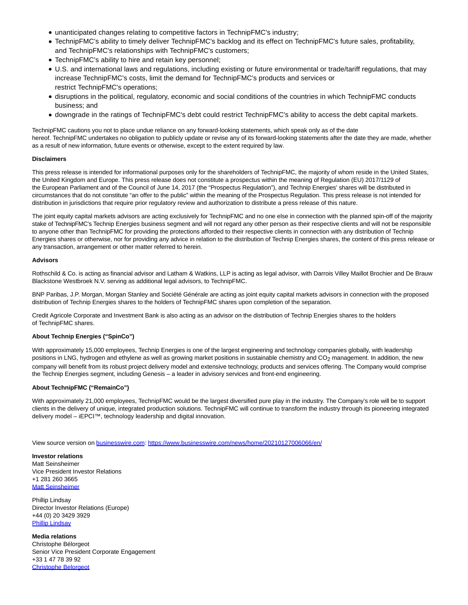- unanticipated changes relating to competitive factors in TechnipFMC's industry;
- TechnipFMC's ability to timely deliver TechnipFMC's backlog and its effect on TechnipFMC's future sales, profitability, and TechnipFMC's relationships with TechnipFMC's customers;
- TechnipFMC's ability to hire and retain key personnel;
- U.S. and international laws and regulations, including existing or future environmental or trade/tariff regulations, that may increase TechnipFMC's costs, limit the demand for TechnipFMC's products and services or restrict TechnipFMC's operations;
- disruptions in the political, regulatory, economic and social conditions of the countries in which TechnipFMC conducts business; and
- downgrade in the ratings of TechnipFMC's debt could restrict TechnipFMC's ability to access the debt capital markets.

TechnipFMC cautions you not to place undue reliance on any forward-looking statements, which speak only as of the date hereof. TechnipFMC undertakes no obligation to publicly update or revise any of its forward-looking statements after the date they are made, whether as a result of new information, future events or otherwise, except to the extent required by law.

# **Disclaimers**

This press release is intended for informational purposes only for the shareholders of TechnipFMC, the majority of whom reside in the United States, the United Kingdom and Europe. This press release does not constitute a prospectus within the meaning of Regulation (EU) 2017/1129 of the European Parliament and of the Council of June 14, 2017 (the "Prospectus Regulation"), and Technip Energies' shares will be distributed in circumstances that do not constitute "an offer to the public" within the meaning of the Prospectus Regulation. This press release is not intended for distribution in jurisdictions that require prior regulatory review and authorization to distribute a press release of this nature.

The joint equity capital markets advisors are acting exclusively for TechnipFMC and no one else in connection with the planned spin-off of the majority stake of TechnipFMC's Technip Energies business segment and will not regard any other person as their respective clients and will not be responsible to anyone other than TechnipFMC for providing the protections afforded to their respective clients in connection with any distribution of Technip Energies shares or otherwise, nor for providing any advice in relation to the distribution of Technip Energies shares, the content of this press release or any transaction, arrangement or other matter referred to herein.

# **Advisors**

Rothschild & Co. is acting as financial advisor and Latham & Watkins, LLP is acting as legal advisor, with Darrois Villey Maillot Brochier and De Brauw Blackstone Westbroek N.V. serving as additional legal advisors, to TechnipFMC.

BNP Paribas, J.P. Morgan, Morgan Stanley and Société Générale are acting as joint equity capital markets advisors in connection with the proposed distribution of Technip Energies shares to the holders of TechnipFMC shares upon completion of the separation.

Credit Agricole Corporate and Investment Bank is also acting as an advisor on the distribution of Technip Energies shares to the holders of TechnipFMC shares.

# **About Technip Energies ("SpinCo")**

With approximately 15,000 employees, Technip Energies is one of the largest engineering and technology companies globally, with leadership positions in LNG, hydrogen and ethylene as well as growing market positions in sustainable chemistry and CO<sub>2</sub> management. In addition, the new company will benefit from its robust project delivery model and extensive technology, products and services offering. The Company would comprise the Technip Energies segment, including Genesis – a leader in advisory services and front-end engineering.

### **About TechnipFMC ("RemainCo")**

With approximately 21,000 employees, TechnipFMC would be the largest diversified pure play in the industry. The Company's role will be to support clients in the delivery of unique, integrated production solutions. TechnipFMC will continue to transform the industry through its pioneering integrated delivery model – iEPCI™, technology leadership and digital innovation.

View source version on [businesswire.com:](http://businesswire.com/)<https://www.businesswire.com/news/home/20210127006066/en/>

**Investor relations** Matt Seinsheimer Vice President Investor Relations +1 281 260 3665 [Matt Seinsheimer](mailto:InvestorRelations@TechnipFMC.com)

Phillip Lindsay Director Investor Relations (Europe) +44 (0) 20 3429 3929 [Phillip Lindsay](mailto:InvestorRelations@TechnipFMC.com)

**Media relations** Christophe Bélorgeot Senior Vice President Corporate Engagement +33 1 47 78 39 92 [Christophe Belorgeot](mailto:media@TechnipFMC.com)